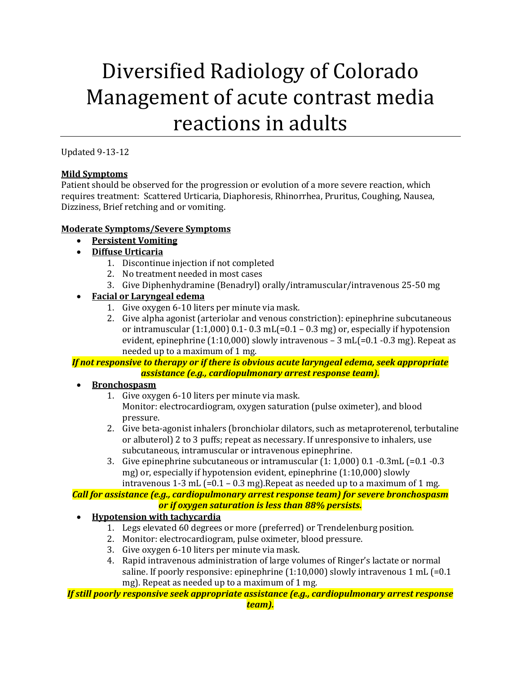# Diversified Radiology of Colorado Management of acute contrast media reactions in adults

Updated 9-13-12

## **Mild Symptoms**

Patient should be observed for the progression or evolution of a more severe reaction, which requires treatment: Scattered Urticaria, Diaphoresis, Rhinorrhea, Pruritus, Coughing, Nausea, Dizziness, Brief retching and or vomiting.

#### **Moderate Symptoms/Severe Symptoms**

- **Persistent Vomiting**
- **Diffuse Urticaria**
	- 1. Discontinue injection if not completed
	- 2. No treatment needed in most cases
	- 3. Give Diphenhydramine (Benadryl) orally/intramuscular/intravenous 25-50 mg
- **Facial or Laryngeal edema**
	- 1. Give oxygen 6-10 liters per minute via mask.
	- 2. Give alpha agonist (arteriolar and venous constriction): epinephrine subcutaneous or intramuscular  $(1:1,000)$  0.1- 0.3 mL $[-0.1 - 0.3$  mg) or, especially if hypotension evident, epinephrine  $(1:10,000)$  slowly intravenous  $-3$  mL $(=0.1 - 0.3$  mg). Repeat as needed up to a maximum of 1 mg.

#### *If not responsive to therapy or if there is obvious acute laryngeal edema, seek appropriate assistance (e.g., cardiopulmonary arrest response team).*

- **Bronchospasm**
	- 1. Give oxygen 6-10 liters per minute via mask. Monitor: electrocardiogram, oxygen saturation (pulse oximeter), and blood pressure.
	- 2. Give beta-agonist inhalers (bronchiolar dilators, such as metaproterenol, terbutaline or albuterol) 2 to 3 puffs; repeat as necessary. If unresponsive to inhalers, use subcutaneous, intramuscular or intravenous epinephrine.
	- 3. Give epinephrine subcutaneous or intramuscular  $(1: 1,000)$  0.1  $-0.3$ mL  $(=0.1 -0.3)$ mg) or, especially if hypotension evident, epinephrine (1:10,000) slowly intravenous 1-3 mL  $(=0.1 - 0.3 \text{ mg})$ . Repeat as needed up to a maximum of 1 mg.

# *Call for assistance (e.g., cardiopulmonary arrest response team) for severe bronchospasm or if oxygen saturation is less than 88% persists.*

- **Hypotension with tachycardia**
	- 1. Legs elevated 60 degrees or more (preferred) or Trendelenburg position.
	- 2. Monitor: electrocardiogram, pulse oximeter, blood pressure.
	- 3. Give oxygen 6-10 liters per minute via mask.
	- 4. Rapid intravenous administration of large volumes of Ringer's lactate or normal saline. If poorly responsive: epinephrine  $(1:10,000)$  slowly intravenous 1 mL  $(=0.1)$ mg). Repeat as needed up to a maximum of 1 mg.

*If still poorly responsive seek appropriate assistance (e.g., cardiopulmonary arrest response*